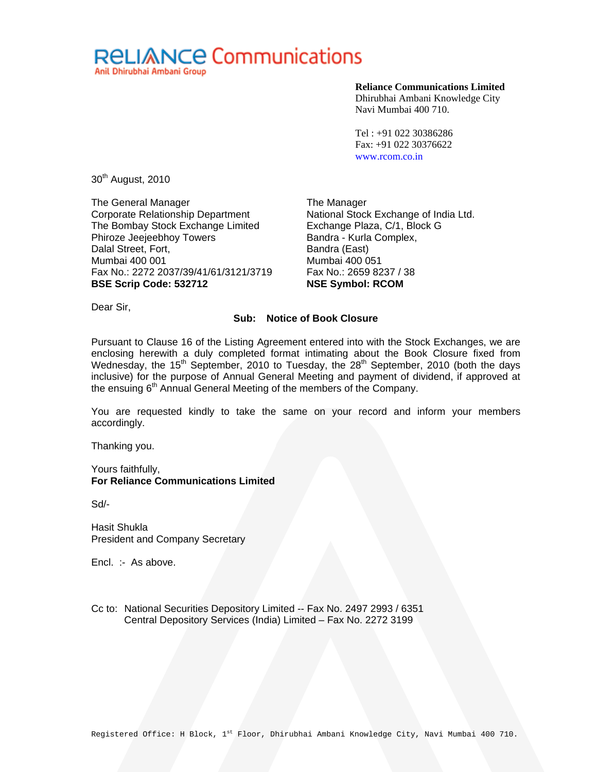

## **Reliance Communications Limited**

Dhirubhai Ambani Knowledge City Navi Mumbai 400 710.

Tel : +91 022 30386286 Fax: +91 022 30376622 www.rcom.co.in

30<sup>th</sup> August, 2010

The General Manager Corporate Relationship Department The Bombay Stock Exchange Limited Phiroze Jeejeebhoy Towers Dalal Street, Fort, Mumbai 400 001 Fax No.: 2272 2037/39/41/61/3121/3719 **BSE Scrip Code: 532712** 

The Manager National Stock Exchange of India Ltd. Exchange Plaza, C/1, Block G Bandra - Kurla Complex, Bandra (East) Mumbai 400 051 Fax No.: 2659 8237 / 38 **NSE Symbol: RCOM** 

Dear Sir,

## **Sub: Notice of Book Closure**

Pursuant to Clause 16 of the Listing Agreement entered into with the Stock Exchanges, we are enclosing herewith a duly completed format intimating about the Book Closure fixed from Wednesday, the 15<sup>th</sup> September, 2010 to Tuesday, the 28<sup>th</sup> September, 2010 (both the days inclusive) for the purpose of Annual General Meeting and payment of dividend, if approved at the ensuing 6<sup>th</sup> Annual General Meeting of the members of the Company.

You are requested kindly to take the same on your record and inform your members accordingly.

Thanking you.

Yours faithfully, **For Reliance Communications Limited** 

Sd/-

Hasit Shukla President and Company Secretary

Encl. :- As above.

Cc to: National Securities Depository Limited -- Fax No. 2497 2993 / 6351 Central Depository Services (India) Limited – Fax No. 2272 3199